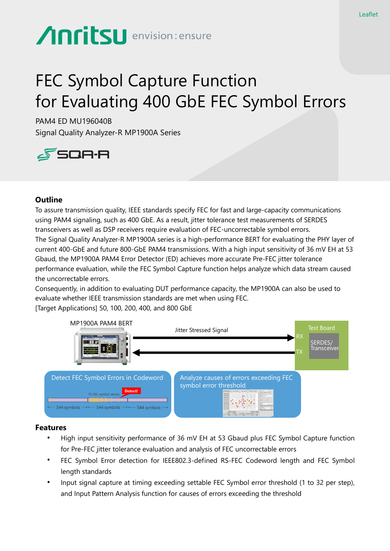# **Anritsu** envision: ensure

# FEC Symbol Capture Function for Evaluating 400 GbE FEC Symbol Errors

PAM4 ED MU196040B Signal Quality Analyzer-R MP1900A Series



#### **Outline**

To assure transmission quality, IEEE standards specify FEC for fast and large-capacity communications using PAM4 signaling, such as 400 GbE. As a result, jitter tolerance test measurements of SERDES transceivers as well as DSP receivers require evaluation of FEC-uncorrectable symbol errors. The Signal Quality Analyzer-R MP1900A series is a high-performance BERT for evaluating the PHY layer of current 400-GbE and future 800-GbE PAM4 transmissions. With a high input sensitivity of 36 mV EH at 53 Gbaud, the MP1900A PAM4 Error Detector (ED) achieves more accurate Pre-FEC jitter tolerance performance evaluation, while the FEC Symbol Capture function helps analyze which data stream caused the uncorrectable errors.

Consequently, in addition to evaluating DUT performance capacity, the MP1900A can also be used to evaluate whether IEEE transmission standards are met when using FEC.

[Target Applications] 50, 100, 200, 400, and 800 GbE



#### **Features**

- High input sensitivity performance of 36 mV EH at 53 Gbaud plus FEC Symbol Capture function for Pre-FEC jitter tolerance evaluation and analysis of FEC uncorrectable errors
- FEC Symbol Error detection for IEEE802.3-defined RS-FEC Codeword length and FEC Symbol length standards
- Input signal capture at timing exceeding settable FEC Symbol error threshold (1 to 32 per step), and Input Pattern Analysis function for causes of errors exceeding the threshold